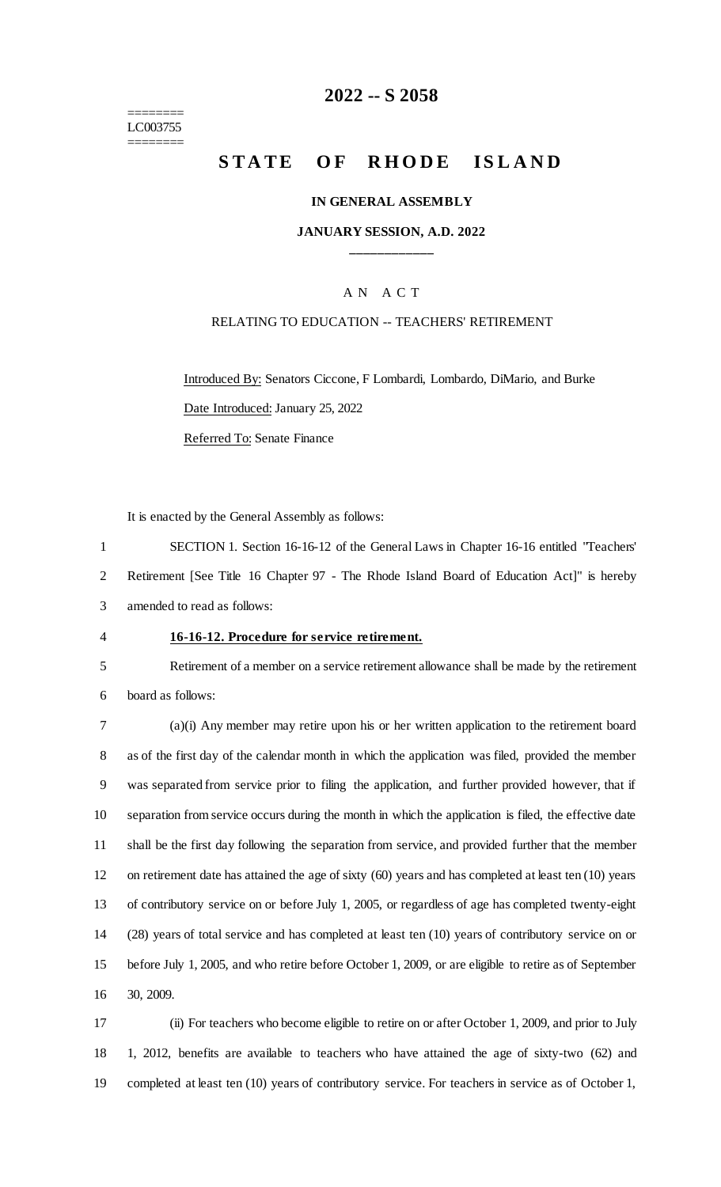======== LC003755 ========

# **-- S 2058**

# **STATE OF RHODE ISLAND**

#### **IN GENERAL ASSEMBLY**

### **JANUARY SESSION, A.D. 2022 \_\_\_\_\_\_\_\_\_\_\_\_**

### A N A C T

#### RELATING TO EDUCATION -- TEACHERS' RETIREMENT

Introduced By: Senators Ciccone, F Lombardi, Lombardo, DiMario, and Burke Date Introduced: January 25, 2022 Referred To: Senate Finance

It is enacted by the General Assembly as follows:

 SECTION 1. Section 16-16-12 of the General Laws in Chapter 16-16 entitled "Teachers' Retirement [See Title 16 Chapter 97 - The Rhode Island Board of Education Act]" is hereby amended to read as follows:

#### **16-16-12. Procedure for service retirement.**

 Retirement of a member on a service retirement allowance shall be made by the retirement board as follows:

 (a)(i) Any member may retire upon his or her written application to the retirement board as of the first day of the calendar month in which the application was filed, provided the member was separated from service prior to filing the application, and further provided however, that if separation from service occurs during the month in which the application is filed, the effective date shall be the first day following the separation from service, and provided further that the member on retirement date has attained the age of sixty (60) years and has completed at least ten (10) years of contributory service on or before July 1, 2005, or regardless of age has completed twenty-eight (28) years of total service and has completed at least ten (10) years of contributory service on or before July 1, 2005, and who retire before October 1, 2009, or are eligible to retire as of September 30, 2009.

 (ii) For teachers who become eligible to retire on or after October 1, 2009, and prior to July 1, 2012, benefits are available to teachers who have attained the age of sixty-two (62) and completed at least ten (10) years of contributory service. For teachers in service as of October 1,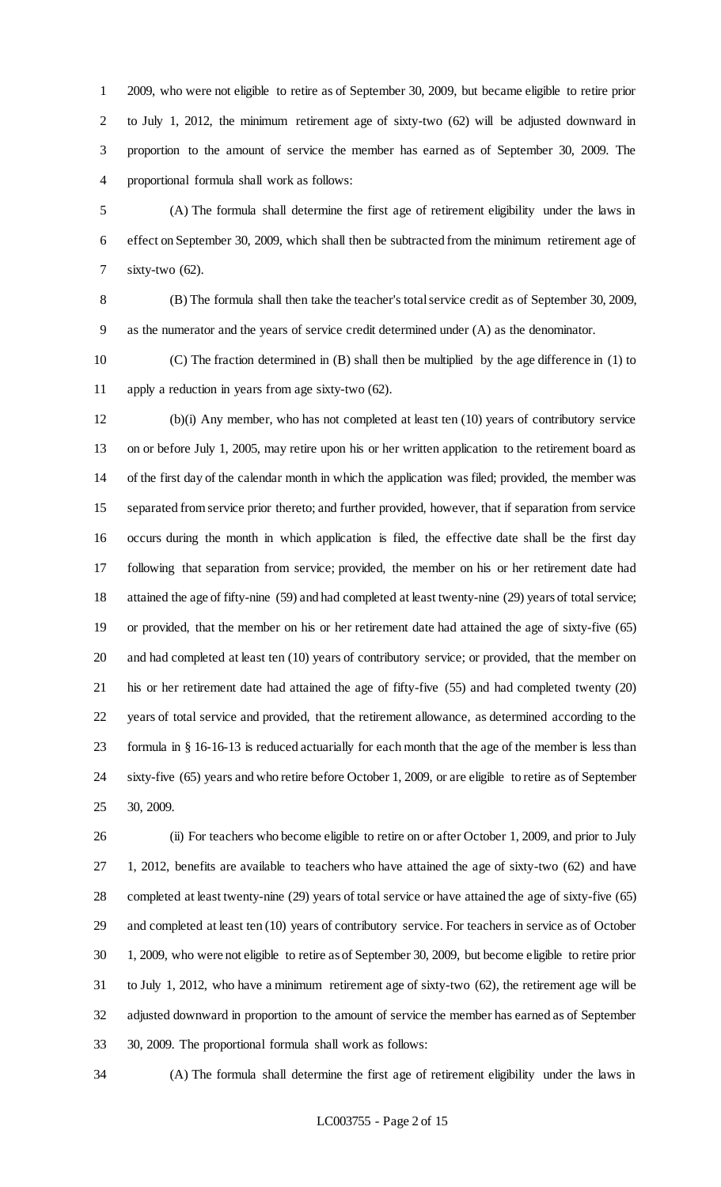2009, who were not eligible to retire as of September 30, 2009, but became eligible to retire prior to July 1, 2012, the minimum retirement age of sixty-two (62) will be adjusted downward in proportion to the amount of service the member has earned as of September 30, 2009. The proportional formula shall work as follows:

 (A) The formula shall determine the first age of retirement eligibility under the laws in effect on September 30, 2009, which shall then be subtracted from the minimum retirement age of sixty-two (62).

 (B) The formula shall then take the teacher's total service credit as of September 30, 2009, as the numerator and the years of service credit determined under (A) as the denominator.

 (C) The fraction determined in (B) shall then be multiplied by the age difference in (1) to apply a reduction in years from age sixty-two (62).

 (b)(i) Any member, who has not completed at least ten (10) years of contributory service on or before July 1, 2005, may retire upon his or her written application to the retirement board as of the first day of the calendar month in which the application was filed; provided, the member was separated from service prior thereto; and further provided, however, that if separation from service occurs during the month in which application is filed, the effective date shall be the first day following that separation from service; provided, the member on his or her retirement date had attained the age of fifty-nine (59) and had completed at least twenty-nine (29) years of total service; or provided, that the member on his or her retirement date had attained the age of sixty-five (65) and had completed at least ten (10) years of contributory service; or provided, that the member on his or her retirement date had attained the age of fifty-five (55) and had completed twenty (20) years of total service and provided, that the retirement allowance, as determined according to the formula in § 16-16-13 is reduced actuarially for each month that the age of the member is less than sixty-five (65) years and who retire before October 1, 2009, or are eligible to retire as of September 30, 2009.

 (ii) For teachers who become eligible to retire on or after October 1, 2009, and prior to July 1, 2012, benefits are available to teachers who have attained the age of sixty-two (62) and have completed at least twenty-nine (29) years of total service or have attained the age of sixty-five (65) and completed at least ten (10) years of contributory service. For teachers in service as of October 1, 2009, who were not eligible to retire as of September 30, 2009, but become eligible to retire prior to July 1, 2012, who have a minimum retirement age of sixty-two (62), the retirement age will be adjusted downward in proportion to the amount of service the member has earned as of September 30, 2009. The proportional formula shall work as follows:

(A) The formula shall determine the first age of retirement eligibility under the laws in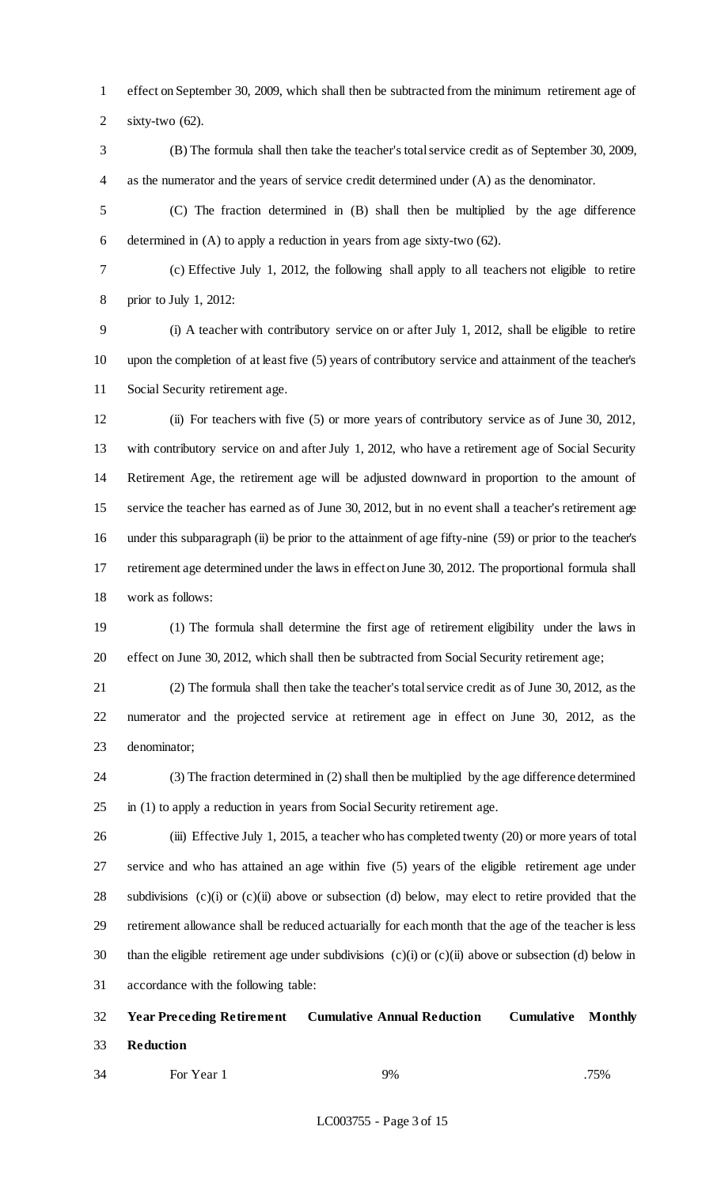effect on September 30, 2009, which shall then be subtracted from the minimum retirement age of sixty-two (62).

 (B) The formula shall then take the teacher's total service credit as of September 30, 2009, as the numerator and the years of service credit determined under (A) as the denominator.

 (C) The fraction determined in (B) shall then be multiplied by the age difference determined in (A) to apply a reduction in years from age sixty-two (62).

 (c) Effective July 1, 2012, the following shall apply to all teachers not eligible to retire prior to July 1, 2012:

 (i) A teacher with contributory service on or after July 1, 2012, shall be eligible to retire upon the completion of at least five (5) years of contributory service and attainment of the teacher's Social Security retirement age.

 (ii) For teachers with five (5) or more years of contributory service as of June 30, 2012, with contributory service on and after July 1, 2012, who have a retirement age of Social Security Retirement Age, the retirement age will be adjusted downward in proportion to the amount of service the teacher has earned as of June 30, 2012, but in no event shall a teacher's retirement age under this subparagraph (ii) be prior to the attainment of age fifty-nine (59) or prior to the teacher's retirement age determined under the laws in effect on June 30, 2012. The proportional formula shall work as follows:

 (1) The formula shall determine the first age of retirement eligibility under the laws in effect on June 30, 2012, which shall then be subtracted from Social Security retirement age;

 (2) The formula shall then take the teacher's total service credit as of June 30, 2012, as the numerator and the projected service at retirement age in effect on June 30, 2012, as the denominator;

 (3) The fraction determined in (2) shall then be multiplied by the age difference determined in (1) to apply a reduction in years from Social Security retirement age.

 (iii) Effective July 1, 2015, a teacher who has completed twenty (20) or more years of total service and who has attained an age within five (5) years of the eligible retirement age under subdivisions (c)(i) or (c)(ii) above or subsection (d) below, may elect to retire provided that the retirement allowance shall be reduced actuarially for each month that the age of the teacher is less 30 than the eligible retirement age under subdivisions  $(c)(i)$  or  $(c)(ii)$  above or subsection (d) below in accordance with the following table:

 **Year Preceding Retirement Cumulative Annual Reduction Cumulative Monthly Reduction**

34 For Year 1 9% 9% 75%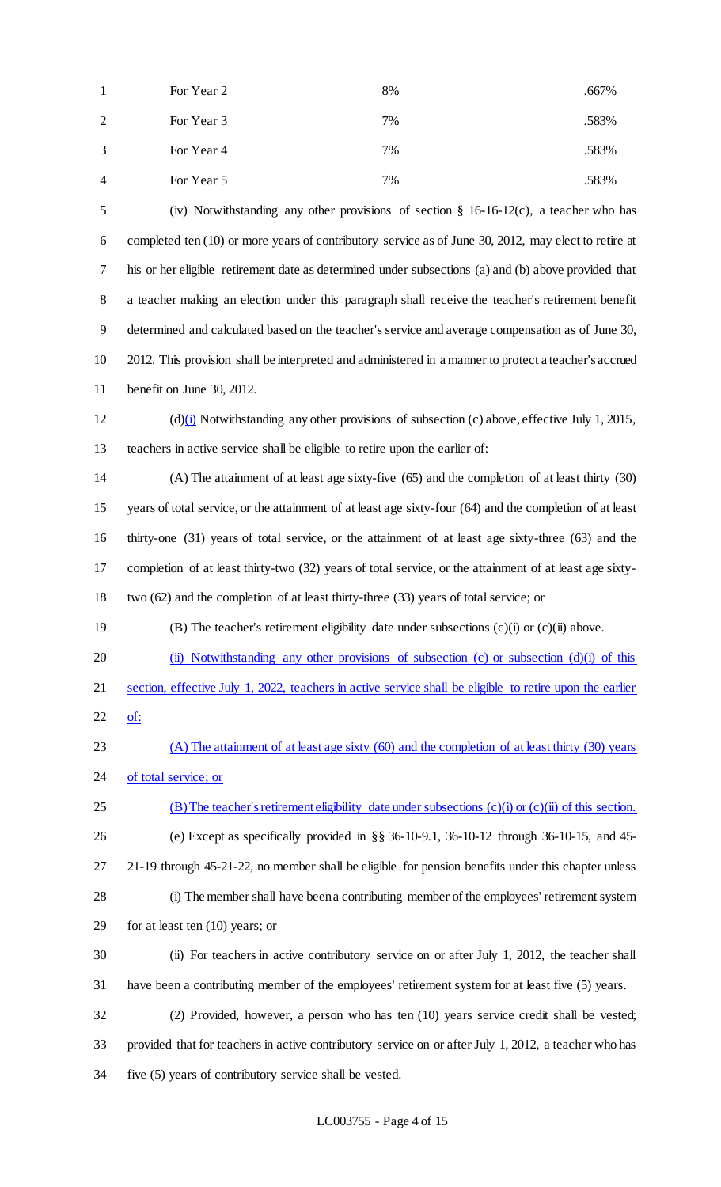| $\overline{1}$ | For Year 2 | 8% | .667% |
|----------------|------------|----|-------|
| 2              | For Year 3 | 7% | .583% |
| 3              | For Year 4 | 7% | .583% |
| $\overline{4}$ | For Year 5 | 7% | .583% |

 (iv) Notwithstanding any other provisions of section § 16-16-12(c), a teacher who has completed ten (10) or more years of contributory service as of June 30, 2012, may elect to retire at his or her eligible retirement date as determined under subsections (a) and (b) above provided that a teacher making an election under this paragraph shall receive the teacher's retirement benefit determined and calculated based on the teacher's service and average compensation as of June 30, 2012. This provision shall be interpreted and administered in a manner to protect a teacher's accrued benefit on June 30, 2012.

 (d)(i) Notwithstanding any other provisions of subsection (c) above, effective July 1, 2015, teachers in active service shall be eligible to retire upon the earlier of:

 (A) The attainment of at least age sixty-five (65) and the completion of at least thirty (30) years of total service, or the attainment of at least age sixty-four (64) and the completion of at least thirty-one (31) years of total service, or the attainment of at least age sixty-three (63) and the completion of at least thirty-two (32) years of total service, or the attainment of at least age sixty-two (62) and the completion of at least thirty-three (33) years of total service; or

(B) The teacher's retirement eligibility date under subsections (c)(i) or (c)(ii) above.

20 (ii) Notwithstanding any other provisions of subsection (c) or subsection (d)(i) of this section, effective July 1, 2022, teachers in active service shall be eligible to retire upon the earlier of:

 (A) The attainment of at least age sixty (60) and the completion of at least thirty (30) years 24 of total service; or

(B) The teacher's retirement eligibility date under subsections (c)(i) or (c)(ii) of this section.

 (e) Except as specifically provided in §§ 36-10-9.1, 36-10-12 through 36-10-15, and 45- 21-19 through 45-21-22, no member shall be eligible for pension benefits under this chapter unless (i) The member shall have been a contributing member of the employees' retirement system

for at least ten (10) years; or

 (ii) For teachers in active contributory service on or after July 1, 2012, the teacher shall have been a contributing member of the employees' retirement system for at least five (5) years.

 (2) Provided, however, a person who has ten (10) years service credit shall be vested; provided that for teachers in active contributory service on or after July 1, 2012, a teacher who has five (5) years of contributory service shall be vested.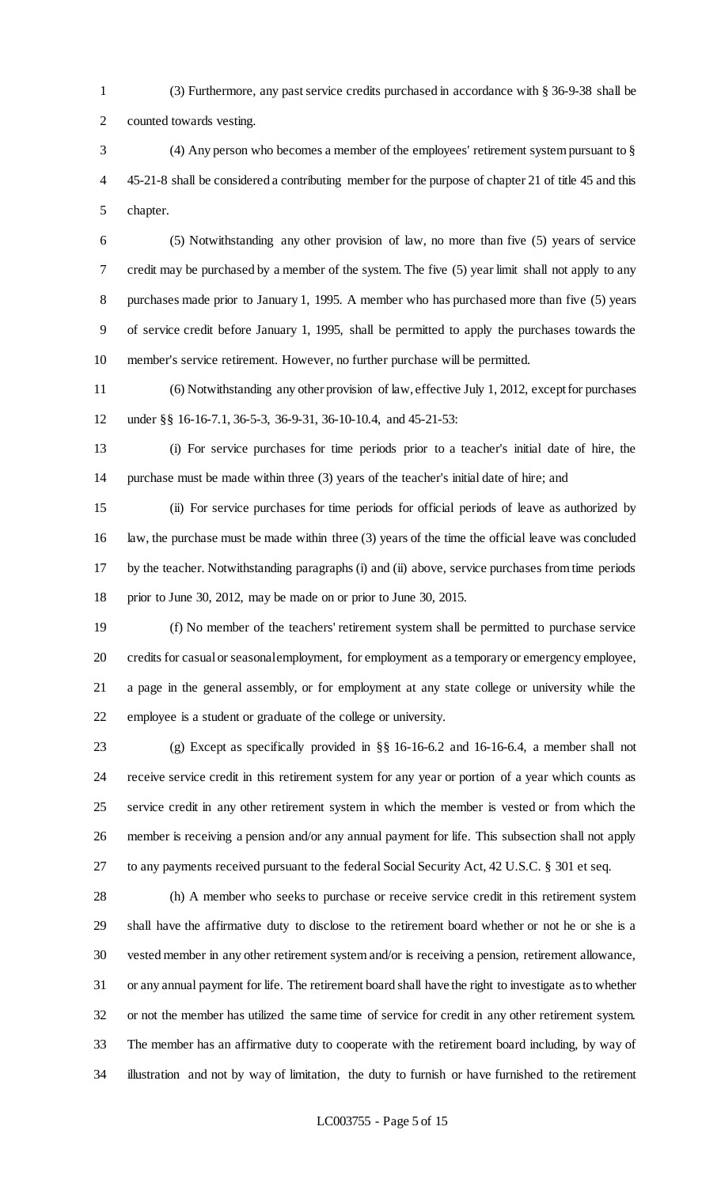(3) Furthermore, any past service credits purchased in accordance with § 36-9-38 shall be counted towards vesting.

 (4) Any person who becomes a member of the employees' retirement system pursuant to § 45-21-8 shall be considered a contributing member for the purpose of chapter 21 of title 45 and this chapter.

 (5) Notwithstanding any other provision of law, no more than five (5) years of service credit may be purchased by a member of the system. The five (5) year limit shall not apply to any purchases made prior to January 1, 1995. A member who has purchased more than five (5) years of service credit before January 1, 1995, shall be permitted to apply the purchases towards the member's service retirement. However, no further purchase will be permitted.

 (6) Notwithstanding any other provision of law, effective July 1, 2012, except for purchases under §§ 16-16-7.1, 36-5-3, 36-9-31, 36-10-10.4, and 45-21-53:

 (i) For service purchases for time periods prior to a teacher's initial date of hire, the purchase must be made within three (3) years of the teacher's initial date of hire; and

 (ii) For service purchases for time periods for official periods of leave as authorized by law, the purchase must be made within three (3) years of the time the official leave was concluded by the teacher. Notwithstanding paragraphs (i) and (ii) above, service purchases from time periods prior to June 30, 2012, may be made on or prior to June 30, 2015.

 (f) No member of the teachers' retirement system shall be permitted to purchase service credits for casual or seasonal employment, for employment as a temporary or emergency employee, a page in the general assembly, or for employment at any state college or university while the employee is a student or graduate of the college or university.

 (g) Except as specifically provided in §§ 16-16-6.2 and 16-16-6.4, a member shall not receive service credit in this retirement system for any year or portion of a year which counts as service credit in any other retirement system in which the member is vested or from which the member is receiving a pension and/or any annual payment for life. This subsection shall not apply to any payments received pursuant to the federal Social Security Act, 42 U.S.C. § 301 et seq.

 (h) A member who seeks to purchase or receive service credit in this retirement system shall have the affirmative duty to disclose to the retirement board whether or not he or she is a vested member in any other retirement system and/or is receiving a pension, retirement allowance, or any annual payment for life. The retirement board shall have the right to investigate as to whether or not the member has utilized the same time of service for credit in any other retirement system. The member has an affirmative duty to cooperate with the retirement board including, by way of illustration and not by way of limitation, the duty to furnish or have furnished to the retirement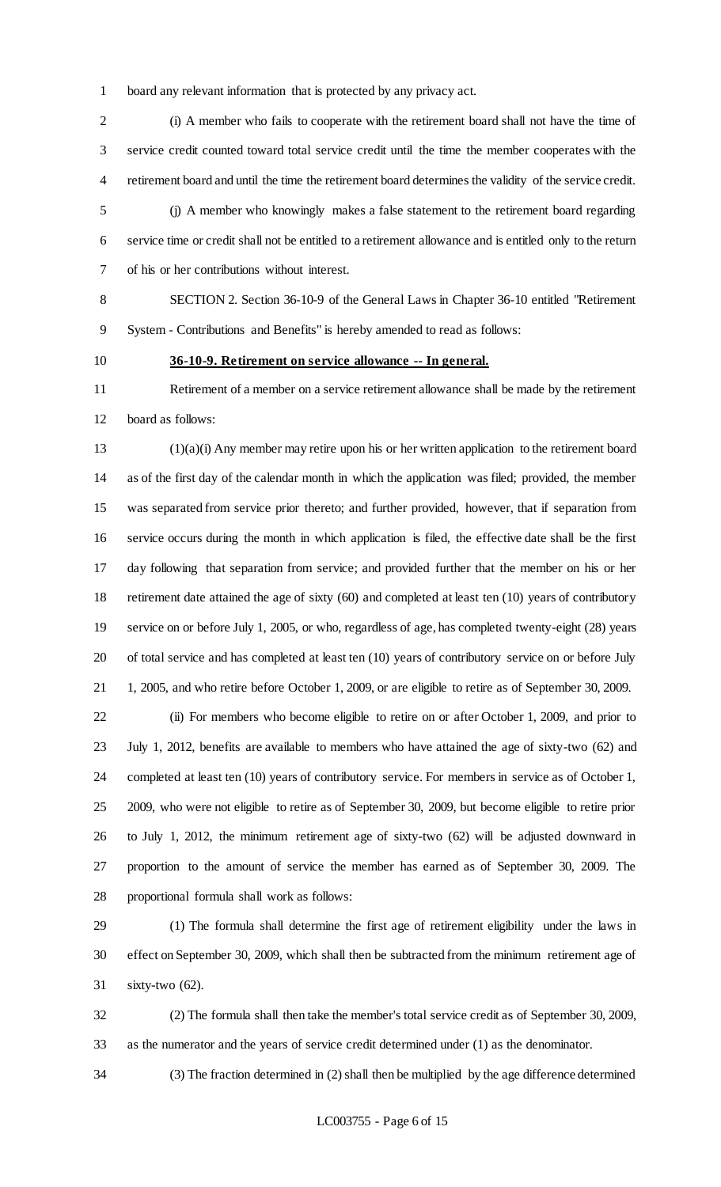board any relevant information that is protected by any privacy act.

 (i) A member who fails to cooperate with the retirement board shall not have the time of service credit counted toward total service credit until the time the member cooperates with the retirement board and until the time the retirement board determines the validity of the service credit.

 (j) A member who knowingly makes a false statement to the retirement board regarding service time or credit shall not be entitled to a retirement allowance and is entitled only to the return of his or her contributions without interest.

 SECTION 2. Section 36-10-9 of the General Laws in Chapter 36-10 entitled "Retirement System - Contributions and Benefits" is hereby amended to read as follows:

## **36-10-9. Retirement on service allowance -- In general.**

 Retirement of a member on a service retirement allowance shall be made by the retirement board as follows:

 (1)(a)(i) Any member may retire upon his or her written application to the retirement board as of the first day of the calendar month in which the application was filed; provided, the member was separated from service prior thereto; and further provided, however, that if separation from service occurs during the month in which application is filed, the effective date shall be the first day following that separation from service; and provided further that the member on his or her retirement date attained the age of sixty (60) and completed at least ten (10) years of contributory service on or before July 1, 2005, or who, regardless of age, has completed twenty-eight (28) years of total service and has completed at least ten (10) years of contributory service on or before July 1, 2005, and who retire before October 1, 2009, or are eligible to retire as of September 30, 2009.

 (ii) For members who become eligible to retire on or after October 1, 2009, and prior to July 1, 2012, benefits are available to members who have attained the age of sixty-two (62) and completed at least ten (10) years of contributory service. For members in service as of October 1, 2009, who were not eligible to retire as of September 30, 2009, but become eligible to retire prior to July 1, 2012, the minimum retirement age of sixty-two (62) will be adjusted downward in proportion to the amount of service the member has earned as of September 30, 2009. The proportional formula shall work as follows:

 (1) The formula shall determine the first age of retirement eligibility under the laws in effect on September 30, 2009, which shall then be subtracted from the minimum retirement age of sixty-two (62).

 (2) The formula shall then take the member's total service credit as of September 30, 2009, as the numerator and the years of service credit determined under (1) as the denominator.

(3) The fraction determined in (2) shall then be multiplied by the age difference determined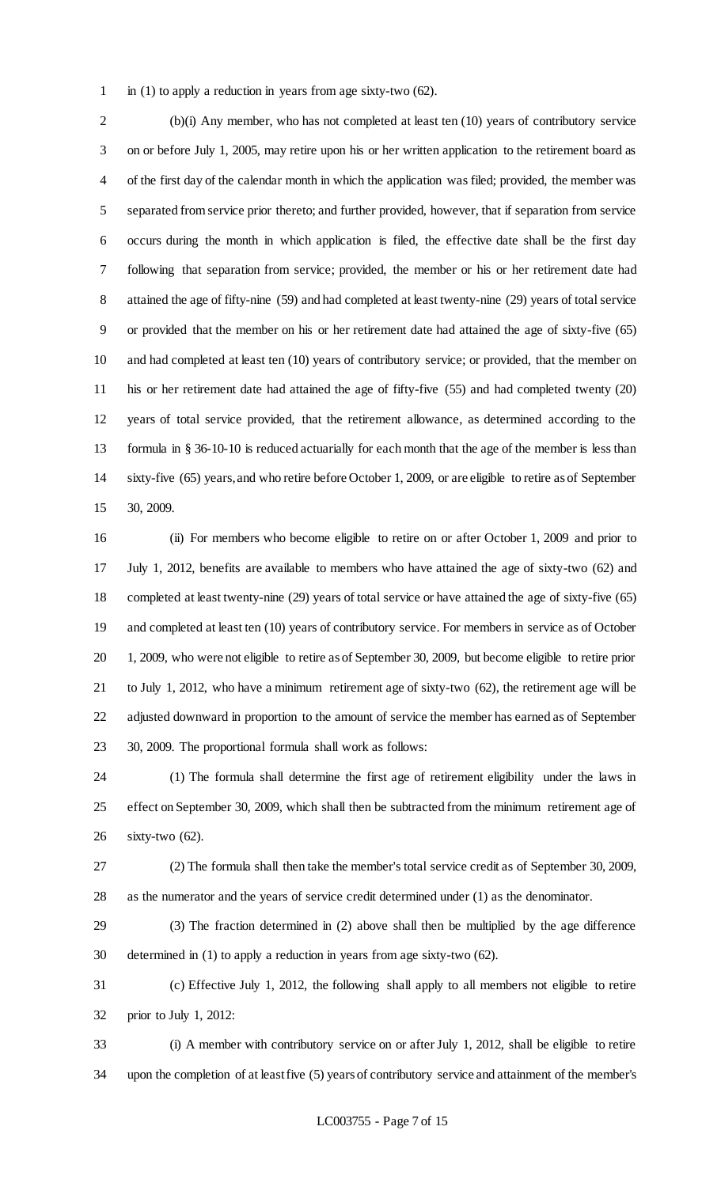in (1) to apply a reduction in years from age sixty-two (62).

 (b)(i) Any member, who has not completed at least ten (10) years of contributory service on or before July 1, 2005, may retire upon his or her written application to the retirement board as of the first day of the calendar month in which the application was filed; provided, the member was separated from service prior thereto; and further provided, however, that if separation from service occurs during the month in which application is filed, the effective date shall be the first day following that separation from service; provided, the member or his or her retirement date had attained the age of fifty-nine (59) and had completed at least twenty-nine (29) years of total service or provided that the member on his or her retirement date had attained the age of sixty-five (65) and had completed at least ten (10) years of contributory service; or provided, that the member on his or her retirement date had attained the age of fifty-five (55) and had completed twenty (20) years of total service provided, that the retirement allowance, as determined according to the formula in § 36-10-10 is reduced actuarially for each month that the age of the member is less than sixty-five (65) years, and who retire before October 1, 2009, or are eligible to retire as of September 30, 2009.

 (ii) For members who become eligible to retire on or after October 1, 2009 and prior to July 1, 2012, benefits are available to members who have attained the age of sixty-two (62) and completed at least twenty-nine (29) years of total service or have attained the age of sixty-five (65) and completed at least ten (10) years of contributory service. For members in service as of October 1, 2009, who were not eligible to retire as of September 30, 2009, but become eligible to retire prior to July 1, 2012, who have a minimum retirement age of sixty-two (62), the retirement age will be adjusted downward in proportion to the amount of service the member has earned as of September 30, 2009. The proportional formula shall work as follows:

 (1) The formula shall determine the first age of retirement eligibility under the laws in effect on September 30, 2009, which shall then be subtracted from the minimum retirement age of sixty-two (62).

 (2) The formula shall then take the member's total service credit as of September 30, 2009, as the numerator and the years of service credit determined under (1) as the denominator.

 (3) The fraction determined in (2) above shall then be multiplied by the age difference determined in (1) to apply a reduction in years from age sixty-two (62).

 (c) Effective July 1, 2012, the following shall apply to all members not eligible to retire prior to July 1, 2012:

 (i) A member with contributory service on or after July 1, 2012, shall be eligible to retire upon the completion of at least five (5) years of contributory service and attainment of the member's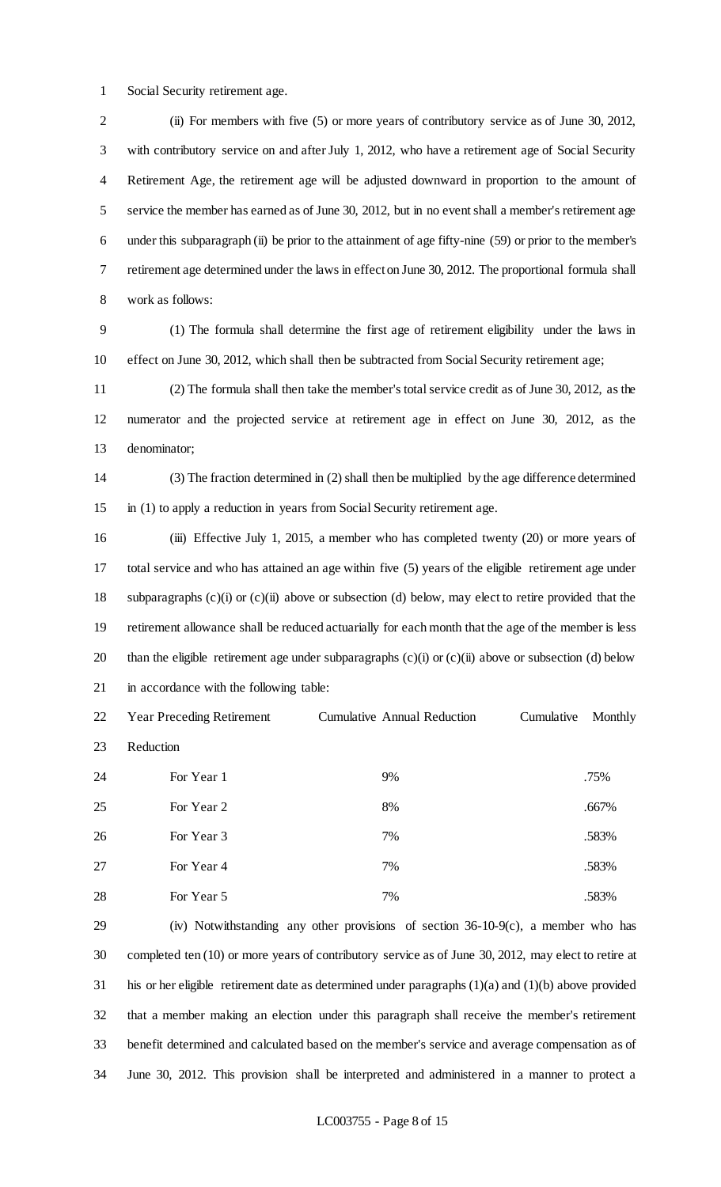Social Security retirement age.

 (ii) For members with five (5) or more years of contributory service as of June 30, 2012, with contributory service on and after July 1, 2012, who have a retirement age of Social Security Retirement Age, the retirement age will be adjusted downward in proportion to the amount of service the member has earned as of June 30, 2012, but in no event shall a member's retirement age under this subparagraph (ii) be prior to the attainment of age fifty-nine (59) or prior to the member's retirement age determined under the laws in effect on June 30, 2012. The proportional formula shall work as follows:

 (1) The formula shall determine the first age of retirement eligibility under the laws in effect on June 30, 2012, which shall then be subtracted from Social Security retirement age;

 (2) The formula shall then take the member's total service credit as of June 30, 2012, as the numerator and the projected service at retirement age in effect on June 30, 2012, as the denominator;

 (3) The fraction determined in (2) shall then be multiplied by the age difference determined in (1) to apply a reduction in years from Social Security retirement age.

 (iii) Effective July 1, 2015, a member who has completed twenty (20) or more years of total service and who has attained an age within five (5) years of the eligible retirement age under subparagraphs (c)(i) or (c)(ii) above or subsection (d) below, may elect to retire provided that the retirement allowance shall be reduced actuarially for each month that the age of the member is less than the eligible retirement age under subparagraphs (c)(i) or (c)(ii) above or subsection (d) below in accordance with the following table:

 Year Preceding Retirement Cumulative Annual Reduction Cumulative Monthly Reduction 24 For Year 1 9% 9% 24 For Year 1 22 25 For Year 2 667% 26 For Year 3 .583% **For Year 4** 7% .583% 28 For Year 5 7% 7% .583%

 (iv) Notwithstanding any other provisions of section 36-10-9(c), a member who has completed ten (10) or more years of contributory service as of June 30, 2012, may elect to retire at his or her eligible retirement date as determined under paragraphs (1)(a) and (1)(b) above provided that a member making an election under this paragraph shall receive the member's retirement benefit determined and calculated based on the member's service and average compensation as of June 30, 2012. This provision shall be interpreted and administered in a manner to protect a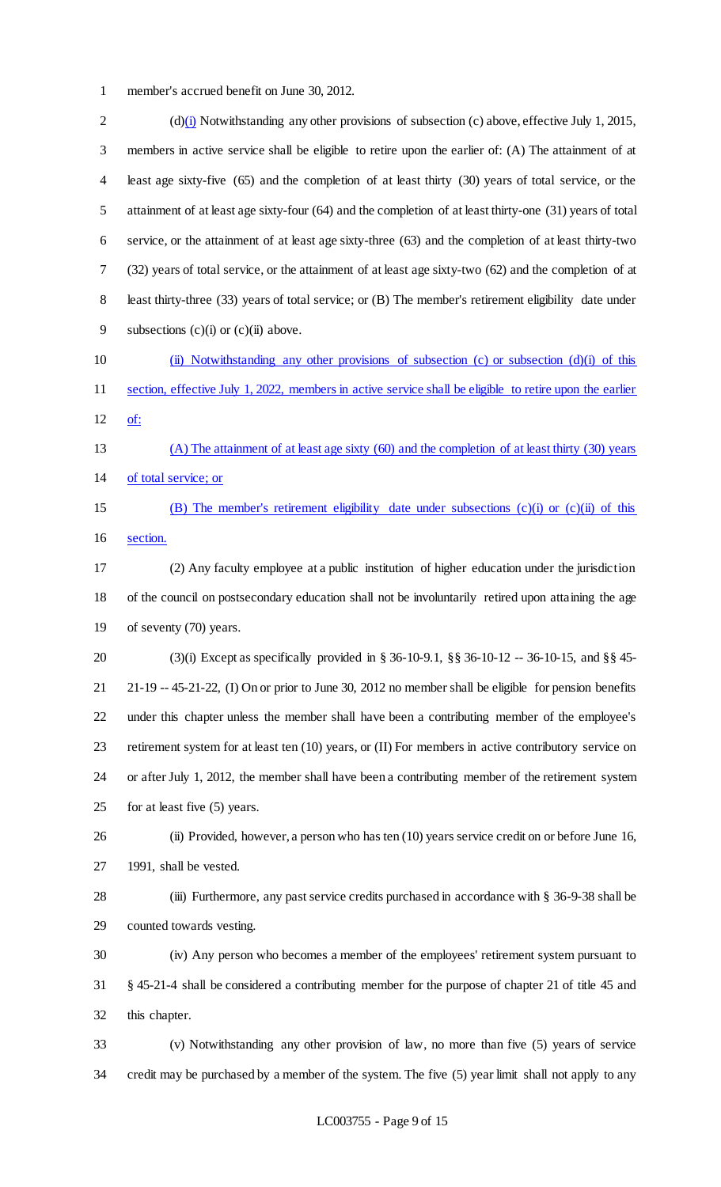member's accrued benefit on June 30, 2012.

2 (d)(i) Notwithstanding any other provisions of subsection (c) above, effective July 1, 2015, members in active service shall be eligible to retire upon the earlier of: (A) The attainment of at least age sixty-five (65) and the completion of at least thirty (30) years of total service, or the attainment of at least age sixty-four (64) and the completion of at least thirty-one (31) years of total service, or the attainment of at least age sixty-three (63) and the completion of at least thirty-two (32) years of total service, or the attainment of at least age sixty-two (62) and the completion of at least thirty-three (33) years of total service; or (B) The member's retirement eligibility date under 9 subsections  $(c)(i)$  or  $(c)(ii)$  above. (ii) Notwithstanding any other provisions of subsection (c) or subsection (d)(i) of this 11 section, effective July 1, 2022, members in active service shall be eligible to retire upon the earlier of: (A) The attainment of at least age sixty (60) and the completion of at least thirty (30) years of total service; or (B) The member's retirement eligibility date under subsections (c)(i) or (c)(ii) of this section. (2) Any faculty employee at a public institution of higher education under the jurisdiction of the council on postsecondary education shall not be involuntarily retired upon attaining the age of seventy (70) years. (3)(i) Except as specifically provided in § 36-10-9.1, §§ 36-10-12 -- 36-10-15, and §§ 45- 21-19 -- 45-21-22, (I) On or prior to June 30, 2012 no member shall be eligible for pension benefits under this chapter unless the member shall have been a contributing member of the employee's retirement system for at least ten (10) years, or (II) For members in active contributory service on or after July 1, 2012, the member shall have been a contributing member of the retirement system for at least five (5) years. (ii) Provided, however, a person who has ten (10) years service credit on or before June 16, 1991, shall be vested. (iii) Furthermore, any past service credits purchased in accordance with § 36-9-38 shall be counted towards vesting. (iv) Any person who becomes a member of the employees' retirement system pursuant to § 45-21-4 shall be considered a contributing member for the purpose of chapter 21 of title 45 and this chapter. (v) Notwithstanding any other provision of law, no more than five (5) years of service credit may be purchased by a member of the system. The five (5) year limit shall not apply to any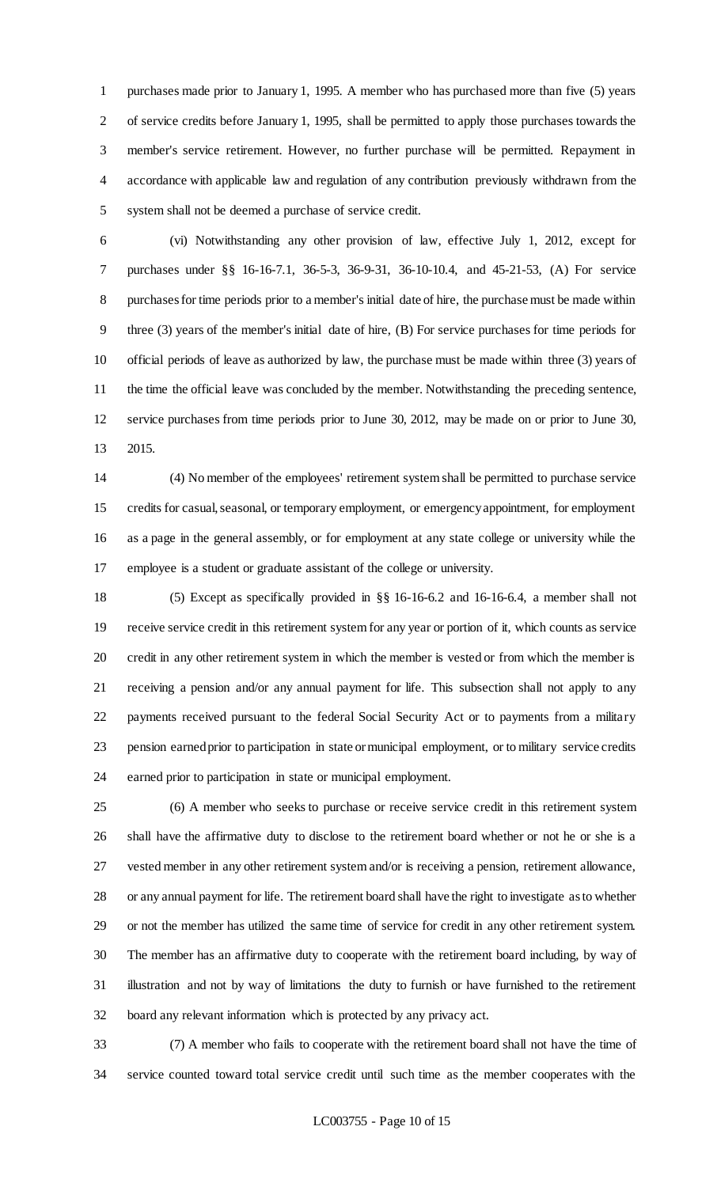purchases made prior to January 1, 1995. A member who has purchased more than five (5) years of service credits before January 1, 1995, shall be permitted to apply those purchases towards the member's service retirement. However, no further purchase will be permitted. Repayment in accordance with applicable law and regulation of any contribution previously withdrawn from the system shall not be deemed a purchase of service credit.

 (vi) Notwithstanding any other provision of law, effective July 1, 2012, except for purchases under §§ 16-16-7.1, 36-5-3, 36-9-31, 36-10-10.4, and 45-21-53, (A) For service purchases for time periods prior to a member's initial date of hire, the purchase must be made within three (3) years of the member's initial date of hire, (B) For service purchases for time periods for official periods of leave as authorized by law, the purchase must be made within three (3) years of the time the official leave was concluded by the member. Notwithstanding the preceding sentence, service purchases from time periods prior to June 30, 2012, may be made on or prior to June 30, 2015.

 (4) No member of the employees' retirement system shall be permitted to purchase service credits for casual, seasonal, or temporary employment, or emergency appointment, for employment as a page in the general assembly, or for employment at any state college or university while the employee is a student or graduate assistant of the college or university.

 (5) Except as specifically provided in §§ 16-16-6.2 and 16-16-6.4, a member shall not receive service credit in this retirement system for any year or portion of it, which counts as service credit in any other retirement system in which the member is vested or from which the member is receiving a pension and/or any annual payment for life. This subsection shall not apply to any payments received pursuant to the federal Social Security Act or to payments from a military pension earned prior to participation in state or municipal employment, or to military service credits earned prior to participation in state or municipal employment.

 (6) A member who seeks to purchase or receive service credit in this retirement system shall have the affirmative duty to disclose to the retirement board whether or not he or she is a vested member in any other retirement system and/or is receiving a pension, retirement allowance, or any annual payment for life. The retirement board shall have the right to investigate as to whether or not the member has utilized the same time of service for credit in any other retirement system. The member has an affirmative duty to cooperate with the retirement board including, by way of illustration and not by way of limitations the duty to furnish or have furnished to the retirement board any relevant information which is protected by any privacy act.

 (7) A member who fails to cooperate with the retirement board shall not have the time of service counted toward total service credit until such time as the member cooperates with the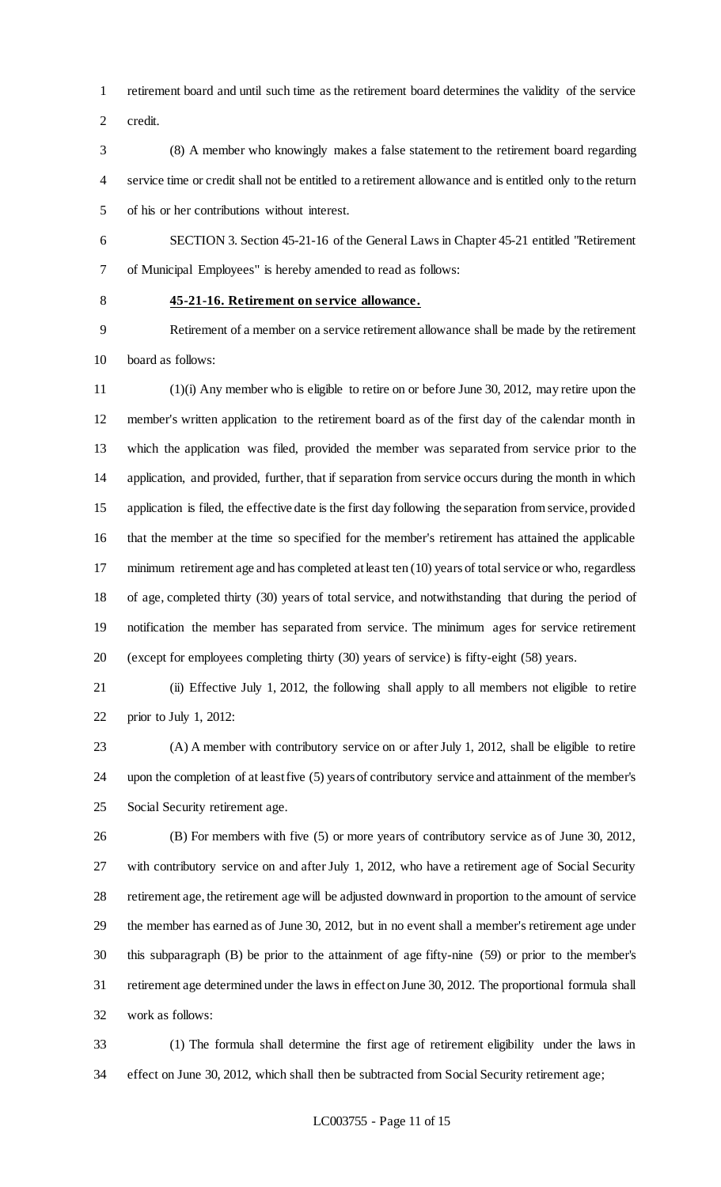retirement board and until such time as the retirement board determines the validity of the service credit.

- (8) A member who knowingly makes a false statement to the retirement board regarding service time or credit shall not be entitled to a retirement allowance and is entitled only to the return of his or her contributions without interest.
- SECTION 3. Section 45-21-16 of the General Laws in Chapter 45-21 entitled "Retirement of Municipal Employees" is hereby amended to read as follows:
- 

## **45-21-16. Retirement on service allowance.**

 Retirement of a member on a service retirement allowance shall be made by the retirement board as follows:

 (1)(i) Any member who is eligible to retire on or before June 30, 2012, may retire upon the member's written application to the retirement board as of the first day of the calendar month in which the application was filed, provided the member was separated from service prior to the application, and provided, further, that if separation from service occurs during the month in which application is filed, the effective date is the first day following the separation from service, provided that the member at the time so specified for the member's retirement has attained the applicable minimum retirement age and has completed at least ten (10) years of total service or who, regardless of age, completed thirty (30) years of total service, and notwithstanding that during the period of notification the member has separated from service. The minimum ages for service retirement (except for employees completing thirty (30) years of service) is fifty-eight (58) years.

 (ii) Effective July 1, 2012, the following shall apply to all members not eligible to retire prior to July 1, 2012:

 (A) A member with contributory service on or after July 1, 2012, shall be eligible to retire upon the completion of at least five (5) years of contributory service and attainment of the member's Social Security retirement age.

 (B) For members with five (5) or more years of contributory service as of June 30, 2012, with contributory service on and after July 1, 2012, who have a retirement age of Social Security retirement age, the retirement age will be adjusted downward in proportion to the amount of service the member has earned as of June 30, 2012, but in no event shall a member's retirement age under this subparagraph (B) be prior to the attainment of age fifty-nine (59) or prior to the member's retirement age determined under the laws in effect on June 30, 2012. The proportional formula shall work as follows:

 (1) The formula shall determine the first age of retirement eligibility under the laws in effect on June 30, 2012, which shall then be subtracted from Social Security retirement age;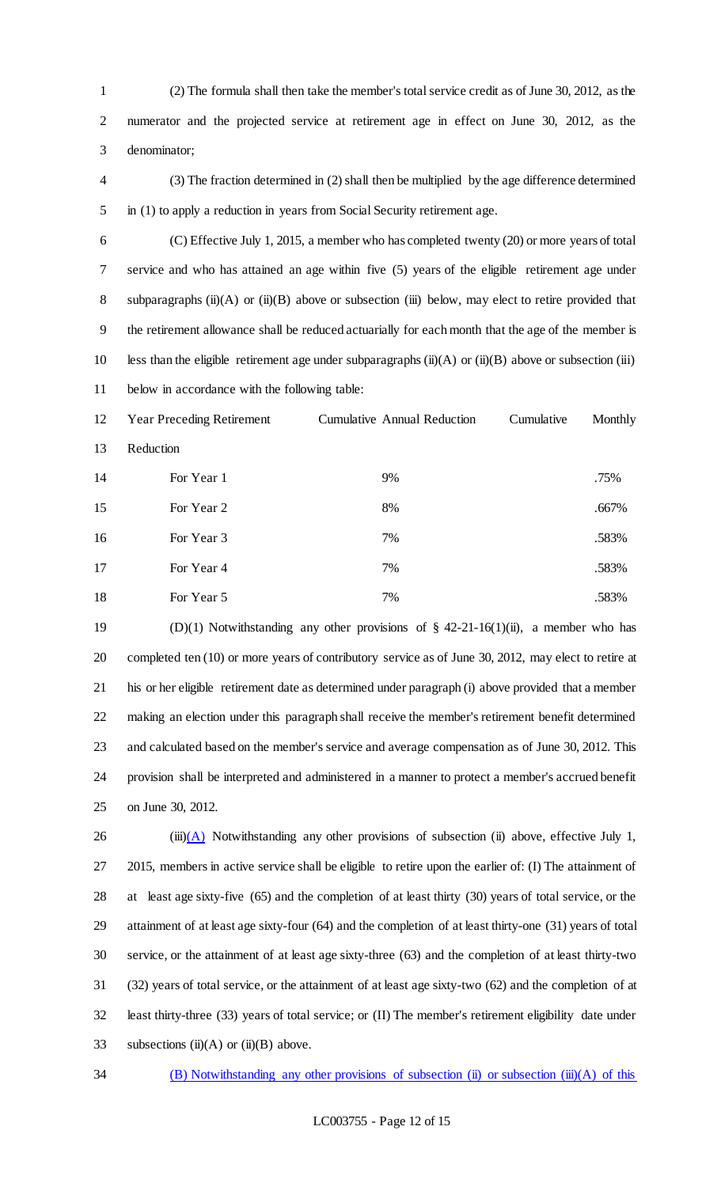(2) The formula shall then take the member's total service credit as of June 30, 2012, as the numerator and the projected service at retirement age in effect on June 30, 2012, as the denominator;

 (3) The fraction determined in (2) shall then be multiplied by the age difference determined in (1) to apply a reduction in years from Social Security retirement age.

 (C) Effective July 1, 2015, a member who has completed twenty (20) or more years of total service and who has attained an age within five (5) years of the eligible retirement age under 8 subparagraphs (ii)(A) or (ii)(B) above or subsection (iii) below, may elect to retire provided that the retirement allowance shall be reduced actuarially for each month that the age of the member is 10 less than the eligible retirement age under subparagraphs  $(ii)(A)$  or  $(ii)(B)$  above or subsection (iii) below in accordance with the following table:

 Year Preceding Retirement Cumulative Annual Reduction Cumulative Monthly Reduction 14 For Year 1 9% 9% .75% 15 For Year 2 .667% 16 For Year 3 7% .583% 17 For Year 4 7% .583% 18 For Year 5 7% .583%

 (D)(1) Notwithstanding any other provisions of § 42-21-16(1)(ii), a member who has completed ten (10) or more years of contributory service as of June 30, 2012, may elect to retire at his or her eligible retirement date as determined under paragraph (i) above provided that a member making an election under this paragraph shall receive the member's retirement benefit determined and calculated based on the member's service and average compensation as of June 30, 2012. This provision shall be interpreted and administered in a manner to protect a member's accrued benefit on June 30, 2012.

26 (iii) $(A)$  Notwithstanding any other provisions of subsection (ii) above, effective July 1, 2015, members in active service shall be eligible to retire upon the earlier of: (I) The attainment of at least age sixty-five (65) and the completion of at least thirty (30) years of total service, or the attainment of at least age sixty-four (64) and the completion of at least thirty-one (31) years of total service, or the attainment of at least age sixty-three (63) and the completion of at least thirty-two (32) years of total service, or the attainment of at least age sixty-two (62) and the completion of at least thirty-three (33) years of total service; or (II) The member's retirement eligibility date under 33 subsections  $(ii)(A)$  or  $(ii)(B)$  above.

34 (B) Notwithstanding any other provisions of subsection (ii) or subsection (iii)(A) of this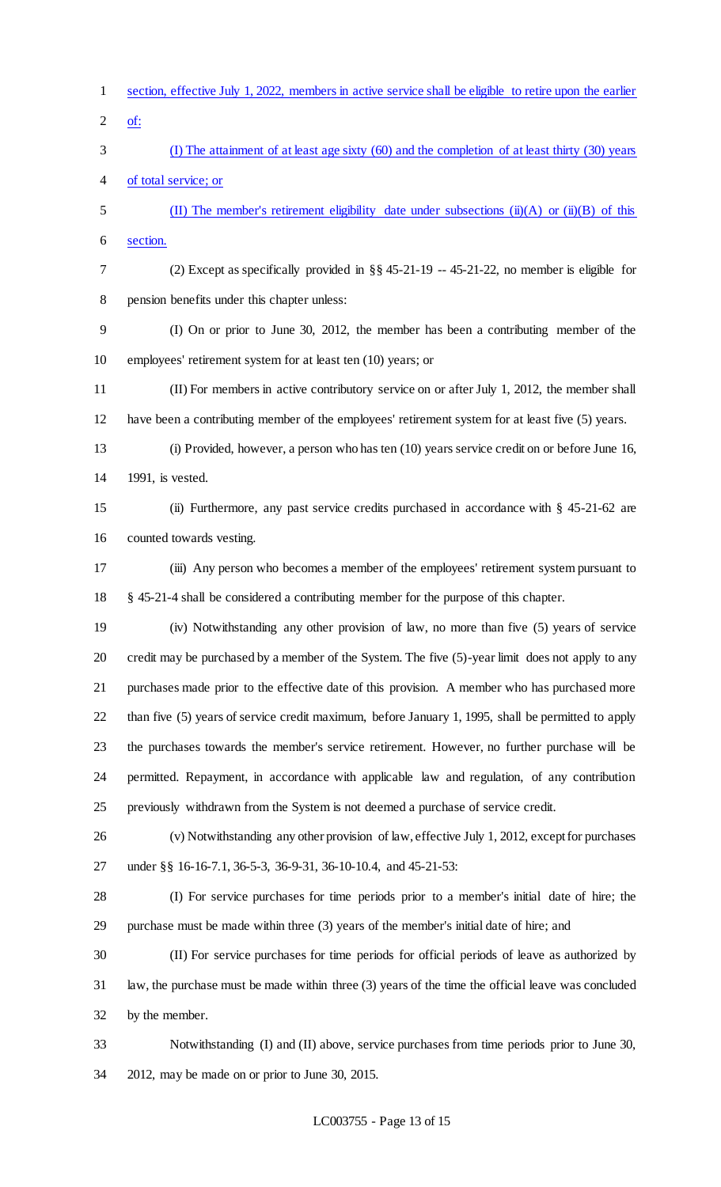section, effective July 1, 2022, members in active service shall be eligible to retire upon the earlier of: (I) The attainment of at least age sixty (60) and the completion of at least thirty (30) years of total service; or (II) The member's retirement eligibility date under subsections (ii)(A) or (ii)(B) of this section. (2) Except as specifically provided in §§ 45-21-19 -- 45-21-22, no member is eligible for pension benefits under this chapter unless: (I) On or prior to June 30, 2012, the member has been a contributing member of the employees' retirement system for at least ten (10) years; or (II) For members in active contributory service on or after July 1, 2012, the member shall have been a contributing member of the employees' retirement system for at least five (5) years. (i) Provided, however, a person who has ten (10) years service credit on or before June 16, 1991, is vested. (ii) Furthermore, any past service credits purchased in accordance with § 45-21-62 are counted towards vesting. (iii) Any person who becomes a member of the employees' retirement system pursuant to § 45-21-4 shall be considered a contributing member for the purpose of this chapter. (iv) Notwithstanding any other provision of law, no more than five (5) years of service credit may be purchased by a member of the System. The five (5)-year limit does not apply to any purchases made prior to the effective date of this provision. A member who has purchased more than five (5) years of service credit maximum, before January 1, 1995, shall be permitted to apply the purchases towards the member's service retirement. However, no further purchase will be permitted. Repayment, in accordance with applicable law and regulation, of any contribution previously withdrawn from the System is not deemed a purchase of service credit. (v) Notwithstanding any other provision of law, effective July 1, 2012, except for purchases under §§ 16-16-7.1, 36-5-3, 36-9-31, 36-10-10.4, and 45-21-53: (I) For service purchases for time periods prior to a member's initial date of hire; the purchase must be made within three (3) years of the member's initial date of hire; and (II) For service purchases for time periods for official periods of leave as authorized by law, the purchase must be made within three (3) years of the time the official leave was concluded by the member. Notwithstanding (I) and (II) above, service purchases from time periods prior to June 30, 2012, may be made on or prior to June 30, 2015.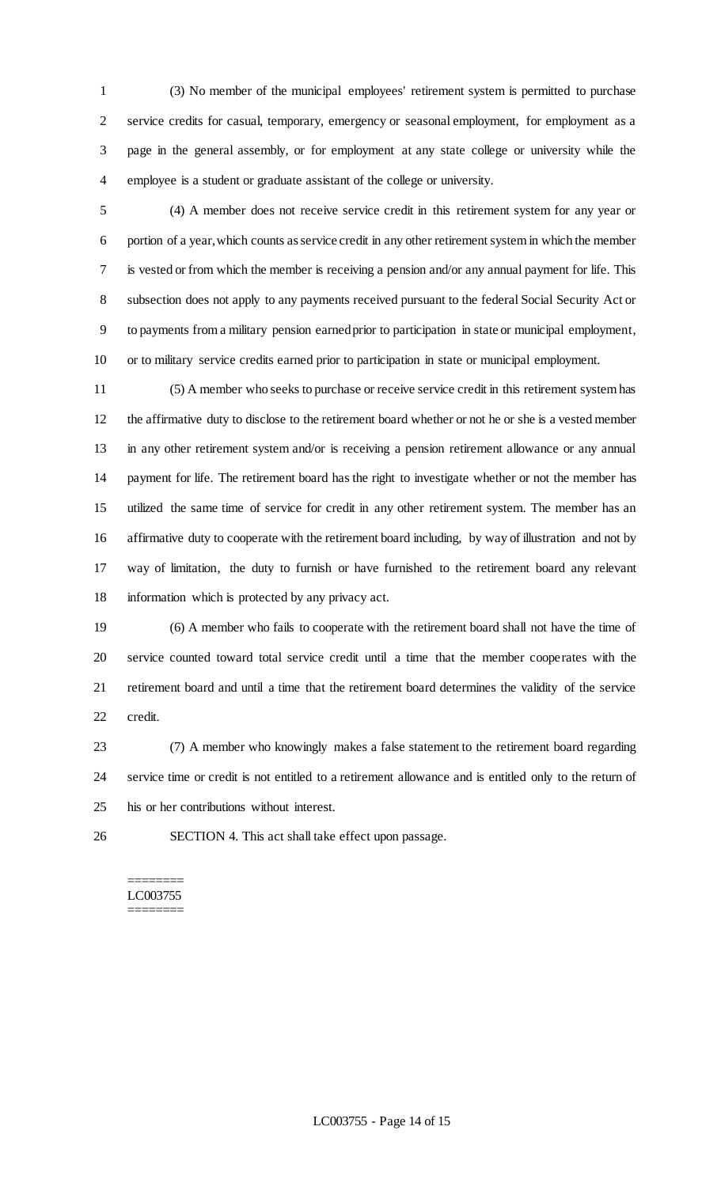(3) No member of the municipal employees' retirement system is permitted to purchase service credits for casual, temporary, emergency or seasonal employment, for employment as a page in the general assembly, or for employment at any state college or university while the employee is a student or graduate assistant of the college or university.

 (4) A member does not receive service credit in this retirement system for any year or portion of a year, which counts as service credit in any other retirement system in which the member is vested or from which the member is receiving a pension and/or any annual payment for life. This subsection does not apply to any payments received pursuant to the federal Social Security Act or to payments from a military pension earned prior to participation in state or municipal employment, or to military service credits earned prior to participation in state or municipal employment.

 (5) A member who seeks to purchase or receive service credit in this retirement system has the affirmative duty to disclose to the retirement board whether or not he or she is a vested member in any other retirement system and/or is receiving a pension retirement allowance or any annual payment for life. The retirement board has the right to investigate whether or not the member has utilized the same time of service for credit in any other retirement system. The member has an affirmative duty to cooperate with the retirement board including, by way of illustration and not by way of limitation, the duty to furnish or have furnished to the retirement board any relevant information which is protected by any privacy act.

 (6) A member who fails to cooperate with the retirement board shall not have the time of service counted toward total service credit until a time that the member cooperates with the retirement board and until a time that the retirement board determines the validity of the service credit.

 (7) A member who knowingly makes a false statement to the retirement board regarding service time or credit is not entitled to a retirement allowance and is entitled only to the return of his or her contributions without interest.

SECTION 4. This act shall take effect upon passage.

#### ======== LC003755 ========